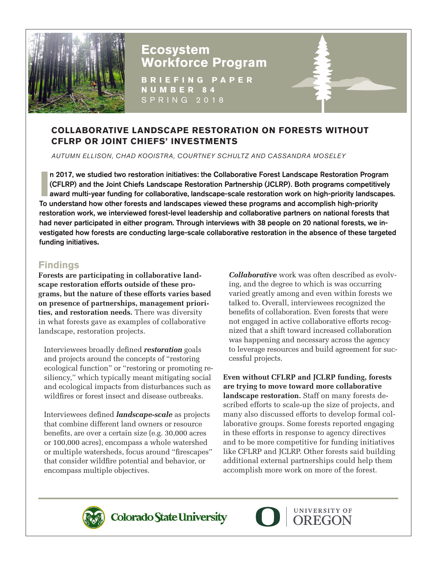

# **Ecosystem Workforce Program**

**BRIEFING PAPER NUMBER 84** SPRING 2018

# **COLLABORATIVE LANDSCAPE RESTORATION ON FORESTS WITHOUT CFLRP OR JOINT CHIEFS' INVESTMENTS**

*AUTUMN ELLISON, CHAD KOOISTRA, COURTNEY SCHULTZ AND CASSANDRA MOSELEY*

**I amazing 19917**, we studied two restoration initiatives: the Collaborative Forest Landscape Restoration Program (CFLRP) and the Joint Chiefs Landscape Restoration Partnership (JCLRP). Both programs competitively award mu n 2017, we studied two restoration initiatives: the Collaborative Forest Landscape Restoration Program (CFLRP) and the Joint Chiefs Landscape Restoration Partnership (JCLRP). Both programs competitively To understand how other forests and landscapes viewed these programs and accomplish high-priority restoration work, we interviewed forest-level leadership and collaborative partners on national forests that had never participated in either program. Through interviews with 38 people on 20 national forests, we investigated how forests are conducting large-scale collaborative restoration in the absence of these targeted funding initiatives**.**

## **Findings**

**Forests are participating in collaborative landscape restoration efforts outside of these programs, but the nature of these efforts varies based on presence of partnerships, management priorities, and restoration needs.** There was diversity in what forests gave as examples of collaborative landscape, restoration projects.

Interviewees broadly defined *restoration* goals and projects around the concepts of "restoring ecological function" or "restoring or promoting resiliency," which typically meant mitigating social and ecological impacts from disturbances such as wildfires or forest insect and disease outbreaks.

Interviewees defined *landscape-scale* as projects that combine different land owners or resource benefits, are over a certain size (e.g. 30,000 acres or 100,000 acres), encompass a whole watershed or multiple watersheds, focus around "firescapes" that consider wildfire potential and behavior, or encompass multiple objectives.

*Collaborative* work was often described as evolving, and the degree to which is was occurring varied greatly among and even within forests we talked to. Overall, interviewees recognized the benefits of collaboration. Even forests that were not engaged in active collaborative efforts recognized that a shift toward increased collaboration was happening and necessary across the agency to leverage resources and build agreement for successful projects.

**Even without CFLRP and JCLRP funding, forests are trying to move toward more collaborative landscape restoration.** Staff on many forests described efforts to scale-up the size of projects, and many also discussed efforts to develop formal collaborative groups. Some forests reported engaging in these efforts in response to agency directives and to be more competitive for funding initiatives like CFLRP and JCLRP. Other forests said building additional external partnerships could help them accomplish more work on more of the forest.



Colorado State University